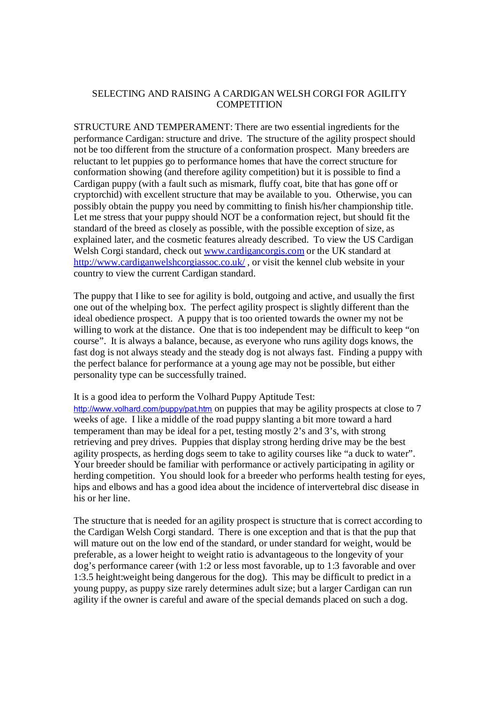## SELECTING AND RAISING A CARDIGAN WELSH CORGI FOR AGILITY **COMPETITION**

STRUCTURE AND TEMPERAMENT: There are two essential ingredients for the performance Cardigan: structure and drive. The structure of the agility prospect should not be too different from the structure of a conformation prospect. Many breeders are reluctant to let puppies go to performance homes that have the correct structure for conformation showing (and therefore agility competition) but it is possible to find a Cardigan puppy (with a fault such as mismark, fluffy coat, bite that has gone off or cryptorchid) with excellent structure that may be available to you. Otherwise, you can possibly obtain the puppy you need by committing to finish his/her championship title. Let me stress that your puppy should NOT be a conformation reject, but should fit the standard of the breed as closely as possible, with the possible exception of size, as explained later, and the cosmetic features already described. To view the US Cardigan Welsh Corgi standard, check out [www.cardigancorgis.com](http://www.cardigancorgis.com) or the UK standard at <http://www.cardiganwelshcorgiassoc.co.uk/> , or visit the kennel club website in your country to view the current Cardigan standard.

The puppy that I like to see for agility is bold, outgoing and active, and usually the first one out of the whelping box. The perfect agility prospect is slightly different than the ideal obedience prospect. A puppy that is too oriented towards the owner my not be willing to work at the distance. One that is too independent may be difficult to keep "on course". It is always a balance, because, as everyone who runs agility dogs knows, the fast dog is not always steady and the steady dog is not always fast. Finding a puppy with the perfect balance for performance at a young age may not be possible, but either personality type can be successfully trained.

It is a good idea to perform the Volhard Puppy Aptitude Test:

<http://www.volhard.com/puppy/pat.htm> on puppies that may be agility prospects at close to 7 weeks of age. I like a middle of the road puppy slanting a bit more toward a hard temperament than may be ideal for a pet, testing mostly 2's and 3's, with strong retrieving and prey drives. Puppies that display strong herding drive may be the best agility prospects, as herding dogs seem to take to agility courses like "a duck to water". Your breeder should be familiar with performance or actively participating in agility or herding competition. You should look for a breeder who performs health testing for eyes, hips and elbows and has a good idea about the incidence of intervertebral disc disease in his or her line.

The structure that is needed for an agility prospect is structure that is correct according to the Cardigan Welsh Corgi standard. There is one exception and that is that the pup that will mature out on the low end of the standard, or under standard for weight, would be preferable, as a lower height to weight ratio is advantageous to the longevity of your dog's performance career (with 1:2 or less most favorable, up to 1:3 favorable and over 1:3.5 height:weight being dangerous for the dog). This may be difficult to predict in a young puppy, as puppy size rarely determines adult size; but a larger Cardigan can run agility if the owner is careful and aware of the special demands placed on such a dog.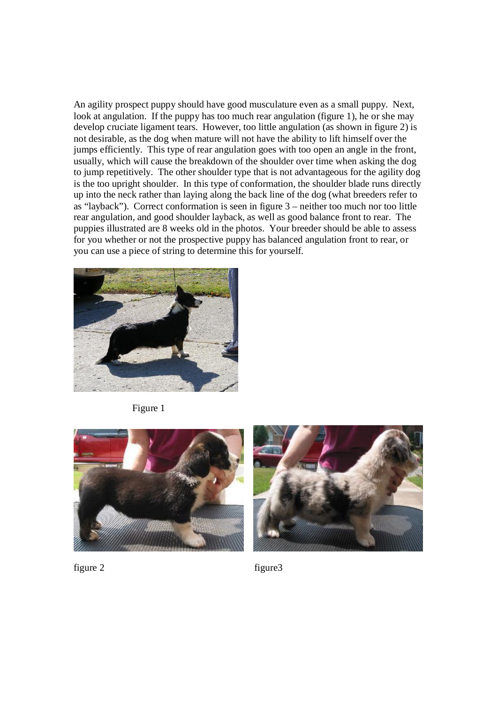An agility prospect puppy should have good musculature even as a small puppy. Next, look at angulation. If the puppy has too much rear angulation (figure 1), he or she may develop cruciate ligament tears. However, too little angulation (as shown in figure 2) is not desirable, as the dog when mature will not have the ability to lift himself over the jumps efficiently. This type of rear angulation goes with too open an angle in the front, usually, which will cause the breakdown of the shoulder over time when asking the dog to jump repetitively. The other shoulder type that is not advantageous for the agility dog is the too upright shoulder. In this type of conformation, the shoulder blade runs directly up into the neck rather than laying along the back line of the dog (what breeders refer to as "layback"). Correct conformation is seen in figure 3 – neither too much nor too little rear angulation, and good shoulder layback, as well as good balance front to rear. The puppies illustrated are 8 weeks old in the photos. Your breeder should be able to assess for you whether or not the prospective puppy has balanced angulation front to rear, or you can use a piece of string to determine this for yourself.



Figure 1





figure 2 figure 3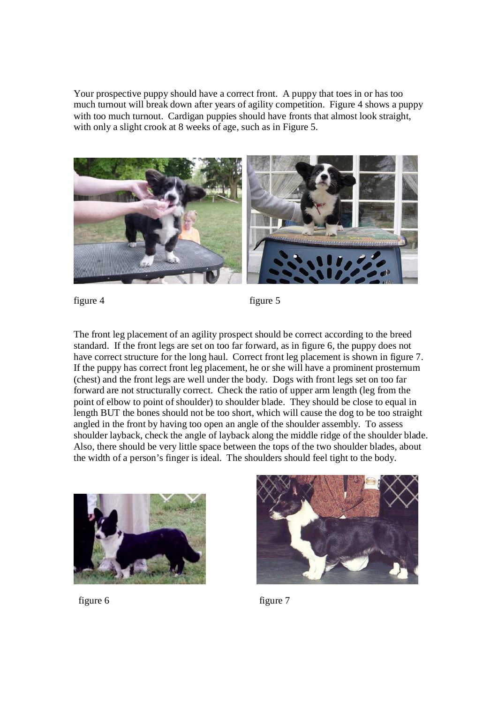Your prospective puppy should have a correct front. A puppy that toes in or has too much turnout will break down after years of agility competition. Figure 4 shows a puppy with too much turnout. Cardigan puppies should have fronts that almost look straight, with only a slight crook at 8 weeks of age, such as in Figure 5.



figure 4 figure 5

The front leg placement of an agility prospect should be correct according to the breed standard. If the front legs are set on too far forward, as in figure 6, the puppy does not have correct structure for the long haul. Correct front leg placement is shown in figure 7. If the puppy has correct front leg placement, he or she will have a prominent prosternum (chest) and the front legs are well under the body. Dogs with front legs set on too far forward are not structurally correct. Check the ratio of upper arm length (leg from the point of elbow to point of shoulder) to shoulder blade. They should be close to equal in length BUT the bones should not be too short, which will cause the dog to be too straight angled in the front by having too open an angle of the shoulder assembly. To assess shoulder layback, check the angle of layback along the middle ridge of the shoulder blade. Also, there should be very little space between the tops of the two shoulder blades, about the width of a person's finger is ideal. The shoulders should feel tight to the body.





figure 6 figure 7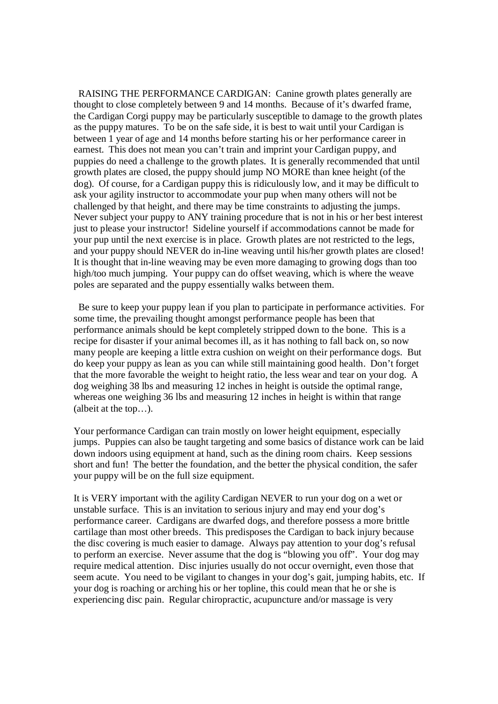RAISING THE PERFORMANCE CARDIGAN: Canine growth plates generally are thought to close completely between 9 and 14 months. Because of it's dwarfed frame, the Cardigan Corgi puppy may be particularly susceptible to damage to the growth plates as the puppy matures. To be on the safe side, it is best to wait until your Cardigan is between 1 year of age and 14 months before starting his or her performance career in earnest. This does not mean you can't train and imprint your Cardigan puppy, and puppies do need a challenge to the growth plates. It is generally recommended that until growth plates are closed, the puppy should jump NO MORE than knee height (of the dog). Of course, for a Cardigan puppy this is ridiculously low, and it may be difficult to ask your agility instructor to accommodate your pup when many others will not be challenged by that height, and there may be time constraints to adjusting the jumps. Never subject your puppy to ANY training procedure that is not in his or her best interest just to please your instructor! Sideline yourself if accommodations cannot be made for your pup until the next exercise is in place. Growth plates are not restricted to the legs, and your puppy should NEVER do in-line weaving until his/her growth plates are closed! It is thought that in-line weaving may be even more damaging to growing dogs than too high/too much jumping. Your puppy can do offset weaving, which is where the weave poles are separated and the puppy essentially walks between them.

Be sure to keep your puppy lean if you plan to participate in performance activities. For some time, the prevailing thought amongst performance people has been that performance animals should be kept completely stripped down to the bone. This is a recipe for disaster if your animal becomes ill, as it has nothing to fall back on, so now many people are keeping a little extra cushion on weight on their performance dogs. But do keep your puppy as lean as you can while still maintaining good health. Don't forget that the more favorable the weight to height ratio, the less wear and tear on your dog. A dog weighing 38 lbs and measuring 12 inches in height is outside the optimal range, whereas one weighing 36 lbs and measuring 12 inches in height is within that range (albeit at the top…).

Your performance Cardigan can train mostly on lower height equipment, especially jumps. Puppies can also be taught targeting and some basics of distance work can be laid down indoors using equipment at hand, such as the dining room chairs. Keep sessions short and fun! The better the foundation, and the better the physical condition, the safer your puppy will be on the full size equipment.

It is VERY important with the agility Cardigan NEVER to run your dog on a wet or unstable surface. This is an invitation to serious injury and may end your dog's performance career. Cardigans are dwarfed dogs, and therefore possess a more brittle cartilage than most other breeds. This predisposes the Cardigan to back injury because the disc covering is much easier to damage. Always pay attention to your dog's refusal to perform an exercise. Never assume that the dog is "blowing you off". Your dog may require medical attention. Disc injuries usually do not occur overnight, even those that seem acute. You need to be vigilant to changes in your dog's gait, jumping habits, etc. If your dog is roaching or arching his or her topline, this could mean that he or she is experiencing disc pain. Regular chiropractic, acupuncture and/or massage is very